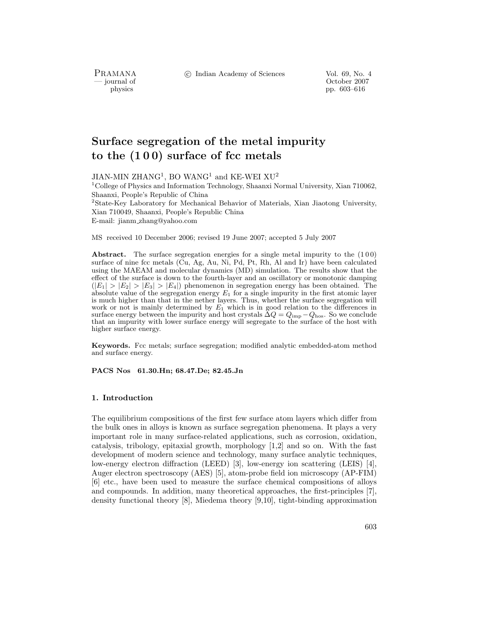c Indian Academy of Sciences Vol. 69, No. 4

PRAMANA<br>— journal of

October 2007 physics pp. 603–616

# **Surface segregation of the metal impurity to the (1 0 0) surface of fcc metals**

JIAN-MIN ZHANG<sup>1</sup>, BO WANG<sup>1</sup> and KE-WEI XU<sup>2</sup>

<sup>1</sup>College of Physics and Information Technology, Shaanxi Normal University, Xian 710062, Shaanxi, People's Republic of China

<sup>2</sup>State-Key Laboratory for Mechanical Behavior of Materials, Xian Jiaotong University, Xian 710049, Shaanxi, People's Republic China E-mail: jianm zhang@yahoo.com

MS received 10 December 2006; revised 19 June 2007; accepted 5 July 2007

**Abstract.** The surface segregation energies for a single metal impurity to the  $(100)$ surface of nine fcc metals (Cu, Ag, Au, Ni, Pd, Pt, Rh, Al and Ir) have been calculated using the MAEAM and molecular dynamics (MD) simulation. The results show that the effect of the surface is down to the fourth-layer and an oscillatory or monotonic damping  $(|E_1| > |E_2| > |E_3| > |E_4|)$  phenomenon in segregation energy has been obtained. The absolute value of the segregation energy  $E_1$  for a single impurity in the first atomic layer is much higher than that in the nether layers. Thus, whether the surface segregation will work or not is mainly determined by  $E_1$  which is in good relation to the differences in surface energy between the impurity and host crystals  $\Delta Q = Q_{\text{imp}} - Q_{\text{hos}}$ . So we conclude that an impurity with lower surface energy will segregate to the surface of the host with higher surface energy.

**Keywords.** Fcc metals; surface segregation; modified analytic embedded-atom method and surface energy.

**PACS Nos 61.30.Hn; 68.47.De; 82.45.Jn**

#### **1. Introduction**

The equilibrium compositions of the first few surface atom layers which differ from the bulk ones in alloys is known as surface segregation phenomena. It plays a very important role in many surface-related applications, such as corrosion, oxidation, catalysis, tribology, epitaxial growth, morphology [1,2] and so on. With the fast development of modern science and technology, many surface analytic techniques, low-energy electron diffraction (LEED) [3], low-energy ion scattering (LEIS) [4], Auger electron spectroscopy (AES) [5], atom-probe field ion microscopy (AP-FIM) [6] etc., have been used to measure the surface chemical compositions of alloys and compounds. In addition, many theoretical approaches, the first-principles [7], density functional theory [8], Miedema theory [9,10], tight-binding approximation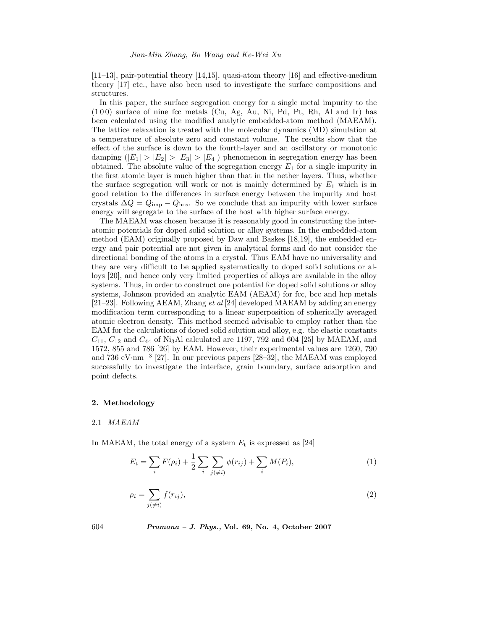[11–13], pair-potential theory [14,15], quasi-atom theory [16] and effective-medium theory [17] etc., have also been used to investigate the surface compositions and structures.

In this paper, the surface segregation energy for a single metal impurity to the  $(100)$  surface of nine fcc metals  $(Cu, Ag, Au, Ni, Pd, Pt, Rh, Al and Ir)$  has been calculated using the modified analytic embedded-atom method (MAEAM). The lattice relaxation is treated with the molecular dynamics (MD) simulation at a temperature of absolute zero and constant volume. The results show that the effect of the surface is down to the fourth-layer and an oscillatory or monotonic damping  $(|E_1|>|E_2|>|E_3|>|E_4|)$  phenomenon in segregation energy has been obtained. The absolute value of the segregation energy  $E_1$  for a single impurity in the first atomic layer is much higher than that in the nether layers. Thus, whether the surface segregation will work or not is mainly determined by  $E_1$  which is in good relation to the differences in surface energy between the impurity and host crystals  $\Delta Q = Q_{\rm imp} - Q_{\rm hos}$ . So we conclude that an impurity with lower surface energy will segregate to the surface of the host with higher surface energy.

The MAEAM was chosen because it is reasonably good in constructing the interatomic potentials for doped solid solution or alloy systems. In the embedded-atom method (EAM) originally proposed by Daw and Baskes [18,19], the embedded energy and pair potential are not given in analytical forms and do not consider the directional bonding of the atoms in a crystal. Thus EAM have no universality and they are very difficult to be applied systematically to doped solid solutions or alloys [20], and hence only very limited properties of alloys are available in the alloy systems. Thus, in order to construct one potential for doped solid solutions or alloy systems, Johnson provided an analytic EAM (AEAM) for fcc, bcc and hcp metals [21–23]. Following AEAM, Zhang *et al* [24] developed MAEAM by adding an energy modification term corresponding to a linear superposition of spherically averaged atomic electron density. This method seemed advisable to employ rather than the EAM for the calculations of doped solid solution and alloy, e.g. the elastic constants  $C_{11}$ ,  $C_{12}$  and  $C_{44}$  of Ni<sub>3</sub>Al calculated are 1197, 792 and 604 [25] by MAEAM, and 1572, 855 and 786 [26] by EAM. However, their experimental values are 1260, 790 and 736 eV·nm−<sup>3</sup> [27]. In our previous papers [28–32], the MAEAM was employed successfully to investigate the interface, grain boundary, surface adsorption and point defects.

#### **2. Methodology**

#### 2.1 *MAEAM*

In MAEAM, the total energy of a system  $E_t$  is expressed as [24]

$$
E_{t} = \sum_{i} F(\rho_{i}) + \frac{1}{2} \sum_{i} \sum_{j(\neq i)} \phi(r_{ij}) + \sum_{i} M(P_{i}), \qquad (1)
$$

$$
\rho_i = \sum_{j(\neq i)} f(r_{ij}),\tag{2}
$$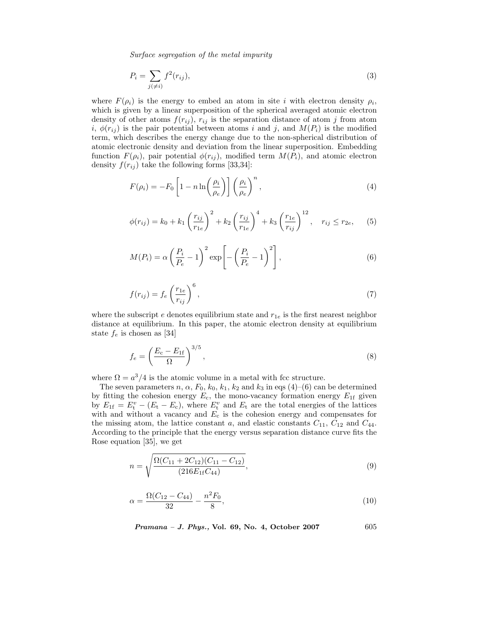$$
P_i = \sum_{j(\neq i)} f^2(r_{ij}),\tag{3}
$$

where  $F(\rho_i)$  is the energy to embed an atom in site i with electron density  $\rho_i$ , which is given by a linear superposition of the spherical averaged atomic electron density of other atoms  $f(r_{ij})$ ,  $r_{ij}$  is the separation distance of atom j from atom i,  $\phi(r_{ij})$  is the pair potential between atoms i and j, and  $M(P_i)$  is the modified term, which describes the energy change due to the non-spherical distribution of atomic electronic density and deviation from the linear superposition. Embedding function  $F(\rho_i)$ , pair potential  $\phi(r_{ij})$ , modified term  $M(P_i)$ , and atomic electron density  $f(r_{ij})$  take the following forms [33,34]:

$$
F(\rho_i) = -F_0 \left[ 1 - n \ln \left( \frac{\rho_i}{\rho_e} \right) \right] \left( \frac{\rho_i}{\rho_e} \right)^n, \tag{4}
$$

$$
\phi(r_{ij}) = k_0 + k_1 \left(\frac{r_{ij}}{r_{1e}}\right)^2 + k_2 \left(\frac{r_{ij}}{r_{1e}}\right)^4 + k_3 \left(\frac{r_{1e}}{r_{ij}}\right)^{12}, \quad r_{ij} \le r_{2e}, \quad (5)
$$

$$
M(P_i) = \alpha \left(\frac{P_i}{P_e} - 1\right)^2 \exp\left[-\left(\frac{P_i}{P_e} - 1\right)^2\right],\tag{6}
$$

$$
f(r_{ij}) = f_e \left(\frac{r_{1e}}{r_{ij}}\right)^6,\tag{7}
$$

where the subscript e denotes equilibrium state and  $r_{1e}$  is the first nearest neighbor distance at equilibrium. In this paper, the atomic electron density at equilibrium state  $f_e$  is chosen as [34]

$$
f_e = \left(\frac{E_c - E_{1f}}{\Omega}\right)^{3/5},\tag{8}
$$

where  $\Omega = a^3/4$  is the atomic volume in a metal with fcc structure.

The seven parameters  $n, \alpha, F_0, k_0, k_1, k_2$  and  $k_3$  in eqs (4)–(6) can be determined by fitting the cohesion energy  $E_c$ , the mono-vacancy formation energy  $E_{1f}$  given by  $E_{1f} = E_t^v - (E_t - E_c)$ , where  $E_t^v$  and  $E_t$  are the total energies of the lattices with and without a vacancy and  $E_c$  is the cohesion energy and compensates for the missing atom, the lattice constant a, and elastic constants  $C_{11}$ ,  $C_{12}$  and  $C_{44}$ . According to the principle that the energy versus separation distance curve fits the Rose equation [35], we get

$$
n = \sqrt{\frac{\Omega(C_{11} + 2C_{12})(C_{11} - C_{12})}{(216E_{1f}C_{44})}},\tag{9}
$$

$$
\alpha = \frac{\Omega(C_{12} - C_{44})}{32} - \frac{n^2 F_0}{8},\tag{10}
$$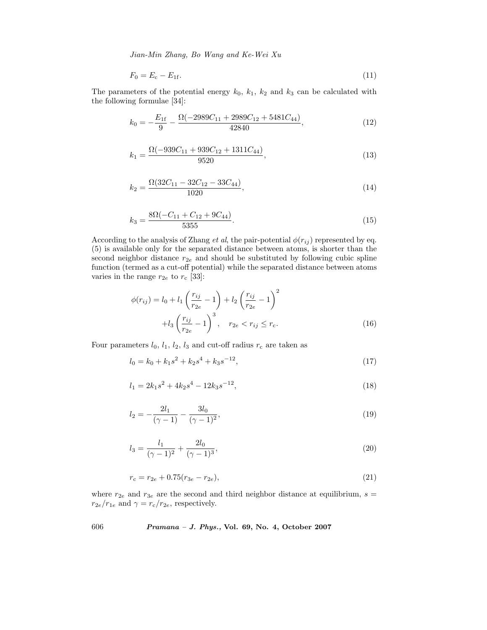*Jian-Min Zhang, Bo Wang and Ke-Wei Xu*

$$
F_0 = E_c - E_{1f}.
$$
\n(11)

The parameters of the potential energy  $k_0$ ,  $k_1$ ,  $k_2$  and  $k_3$  can be calculated with the following formulae [34]:

$$
k_0 = -\frac{E_{1f}}{9} - \frac{\Omega(-2989C_{11} + 2989C_{12} + 5481C_{44})}{42840},
$$
\n(12)

$$
k_1 = \frac{\Omega(-939C_{11} + 939C_{12} + 1311C_{44})}{9520},\tag{13}
$$

$$
k_2 = \frac{\Omega(32C_{11} - 32C_{12} - 33C_{44})}{1020},\tag{14}
$$

$$
k_3 = \frac{8\Omega(-C_{11} + C_{12} + 9C_{44})}{5355}.
$$
\n
$$
(15)
$$

According to the analysis of Zhang *et al*, the pair-potential  $\phi(r_{ij})$  represented by eq. (5) is available only for the separated distance between atoms, is shorter than the second neighbor distance  $r_{2e}$  and should be substituted by following cubic spline function (termed as a cut-off potential) while the separated distance between atoms varies in the range  $r_{2e}$  to  $r_c$  [33]:

$$
\phi(r_{ij}) = l_0 + l_1 \left(\frac{r_{ij}}{r_{2e}} - 1\right) + l_2 \left(\frac{r_{ij}}{r_{2e}} - 1\right)^2 + l_3 \left(\frac{r_{ij}}{r_{2e}} - 1\right)^3, \quad r_{2e} < r_{ij} \leq r_c. \tag{16}
$$

Four parameters  $l_0$ ,  $l_1$ ,  $l_2$ ,  $l_3$  and cut-off radius  $r_c$  are taken as

$$
l_0 = k_0 + k_1 s^2 + k_2 s^4 + k_3 s^{-12},\tag{17}
$$

$$
l_1 = 2k_1s^2 + 4k_2s^4 - 12k_3s^{-12},\tag{18}
$$

$$
l_2 = -\frac{2l_1}{(\gamma - 1)} - \frac{3l_0}{(\gamma - 1)^2},\tag{19}
$$

$$
l_3 = \frac{l_1}{(\gamma - 1)^2} + \frac{2l_0}{(\gamma - 1)^3},\tag{20}
$$

$$
r_{\rm c} = r_{2e} + 0.75(r_{3e} - r_{2e}),\tag{21}
$$

where  $r_{2e}$  and  $r_{3e}$  are the second and third neighbor distance at equilibrium,  $s =$  $r_{2e}/r_{1e}$  and  $\gamma = r_{\rm c}/r_{2e}$ , respectively.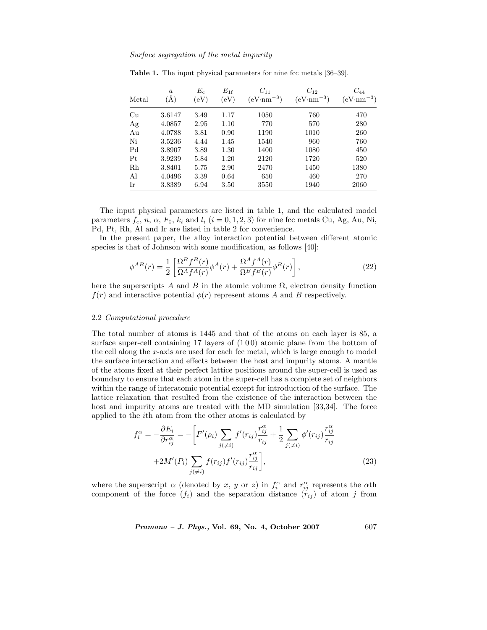|                | $\boldsymbol{a}$ | $E_c$ | $E_{1f}$ | $C_{11}$    | $C_{12}$    | $C_{44}$    |
|----------------|------------------|-------|----------|-------------|-------------|-------------|
| Metal          | $\rm(\AA)$       | (eV)  | (eV)     | $(eV·nm-3)$ | $(eV·nm-3)$ | $(eV·nm-3)$ |
| Cu             | 3.6147           | 3.49  | 1.17     | 1050        | 760         | 470         |
| Ag             | 4.0857           | 2.95  | 1.10     | 770         | 570         | 280         |
| Au             | 4.0788           | 3.81  | 0.90     | 1190        | 1010        | 260         |
| Ni             | 3.5236           | 4.44  | 1.45     | 1540        | 960         | 760         |
| P <sub>d</sub> | 3.8907           | 3.89  | 1.30     | 1400        | 1080        | 450         |
| Pt             | 3.9239           | 5.84  | 1.20     | 2120        | 1720        | 520         |
| Rh             | 3.8401           | 5.75  | 2.90     | 2470        | 1450        | 1380        |
| Al             | 4.0496           | 3.39  | 0.64     | 650         | 460         | 270         |
| Ir             | 3.8389           | 6.94  | 3.50     | 3550        | 1940        | 2060        |

**Table 1.** The input physical parameters for nine fcc metals [36–39].

The input physical parameters are listed in table 1, and the calculated model parameters  $f_e$ ,  $n$ ,  $\alpha$ ,  $F_0$ ,  $k_i$  and  $l_i$   $(i = 0, 1, 2, 3)$  for nine fcc metals Cu, Ag, Au, Ni, Pd, Pt, Rh, Al and Ir are listed in table 2 for convenience.

In the present paper, the alloy interaction potential between different atomic species is that of Johnson with some modification, as follows [40]:

$$
\phi^{AB}(r) = \frac{1}{2} \left[ \frac{\Omega^B f^B(r)}{\Omega^A f^A(r)} \phi^A(r) + \frac{\Omega^A f^A(r)}{\Omega^B f^B(r)} \phi^B(r) \right],\tag{22}
$$

here the superscripts A and B in the atomic volume  $\Omega$ , electron density function  $f(r)$  and interactive potential  $\phi(r)$  represent atoms A and B respectively.

#### 2.2 *Computational procedure*

The total number of atoms is 1445 and that of the atoms on each layer is 85, a surface super-cell containing 17 layers of  $(100)$  atomic plane from the bottom of the cell along the x-axis are used for each fcc metal, which is large enough to model the surface interaction and effects between the host and impurity atoms. A mantle of the atoms fixed at their perfect lattice positions around the super-cell is used as boundary to ensure that each atom in the super-cell has a complete set of neighbors within the range of interatomic potential except for introduction of the surface. The lattice relaxation that resulted from the existence of the interaction between the host and impurity atoms are treated with the MD simulation [33,34]. The force applied to the ith atom from the other atoms is calculated by

$$
f_i^{\alpha} = -\frac{\partial E_i}{\partial r_{ij}^{\alpha}} = -\left[F'(\rho_i) \sum_{j(\neq i)} f'(r_{ij}) \frac{r_{ij}^{\alpha}}{r_{ij}} + \frac{1}{2} \sum_{j(\neq i)} \phi'(r_{ij}) \frac{r_{ij}^{\alpha}}{r_{ij}} + 2M'(P_i) \sum_{j(\neq i)} f(r_{ij}) f'(r_{ij}) \frac{r_{ij}^{\alpha}}{r_{ij}}\right],
$$
\n(23)

where the superscript  $\alpha$  (denoted by x, y or z) in  $f_i^{\alpha}$  and  $r_{ij}^{\alpha}$  represents the  $\alpha$ th component of the force  $(f_i)$  and the separation distance  $(r_{ij})$  of atom j from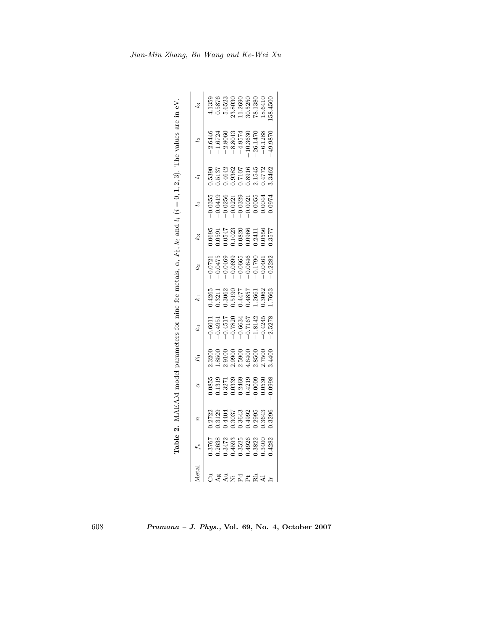|                 | <b>Table</b>                                                       | MAEAN                                                    | model                                                                      |    | $_{\rm for\ nine}$ :<br><b>TATS</b>                                       |                                                          | metals. $\alpha$ .                                                                                    | $t_{0}$ .                                                                        | $k_i$ and $l_i$ ( $i = 0, 1, 2, 3$ )                           |                                                                             | values<br>The                                                                                                                       | are in                                                                                                                           |
|-----------------|--------------------------------------------------------------------|----------------------------------------------------------|----------------------------------------------------------------------------|----|---------------------------------------------------------------------------|----------------------------------------------------------|-------------------------------------------------------------------------------------------------------|----------------------------------------------------------------------------------|----------------------------------------------------------------|-----------------------------------------------------------------------------|-------------------------------------------------------------------------------------------------------------------------------------|----------------------------------------------------------------------------------------------------------------------------------|
| $_{\rm{detal}}$ |                                                                    |                                                          |                                                                            | £ń | ξg                                                                        | k,                                                       | $\overline{k_2}$                                                                                      | k3                                                                               | $\epsilon$                                                     | 5                                                                           | S)                                                                                                                                  |                                                                                                                                  |
|                 |                                                                    |                                                          |                                                                            |    |                                                                           |                                                          |                                                                                                       |                                                                                  |                                                                |                                                                             |                                                                                                                                     |                                                                                                                                  |
|                 |                                                                    |                                                          |                                                                            |    |                                                                           |                                                          |                                                                                                       |                                                                                  |                                                                |                                                                             |                                                                                                                                     |                                                                                                                                  |
|                 |                                                                    |                                                          |                                                                            |    |                                                                           |                                                          |                                                                                                       |                                                                                  |                                                                |                                                                             |                                                                                                                                     |                                                                                                                                  |
| デ               | 1.3767<br>0.3472<br>0.3472<br>0.3525<br>0.3400<br>0.3400<br>0.3400 | 0.2722<br>0.3129<br>0.4404<br>0.3637<br>0.3643<br>0.3643 | 0.0855<br>0.13171<br>0.32713939<br>0.0344219<br>0.0530<br>0.0530<br>0.0530 |    | -0.6011<br>-0.49517<br>-0.4517 7820<br>-0.6634 4245<br>-0.4245<br>-1.5278 | 0.4265<br>0.3211<br>0.3062<br>0.4477<br>0.4457<br>0.3062 | $-0.0721$<br>$-0.0475$<br>$-0.0696$<br>$-0.06686$<br>$-0.0664$<br>$-0.0646$<br>$-0.1796$<br>$-0.0461$ | $0.0695$<br>$0.0591$<br>$0.0547$<br>$0.1023$<br>$0.0820$<br>$0.0966$<br>$0.0966$ | 55<br>0.0356<br>0.0256<br>0.0320<br>0.0044<br>0.0044<br>0.0044 | 0.5390<br>0.5137<br>0.4642<br>0.382<br>0.7107<br>0.4772<br>0.4772<br>0.4772 | $\begin{array}{r} -2.6446 \\ -1.6724 \\ -1.8060 \\ -2.8060 \\ -8.8013 \\ -4.9574 \\ -1.03630 \\ -1.03630 \\ -6.1288 \\ \end{array}$ | $\begin{array}{c} 4.1359\\ -1.5876\\ 0.5876\\ 0.6523\\ 2.3.8030\\ 11.2690\\ 78.1380\\ 18.6410\\ 18.6410\\ 18.6410\\ \end{array}$ |
|                 |                                                                    |                                                          |                                                                            |    |                                                                           |                                                          |                                                                                                       |                                                                                  |                                                                |                                                                             |                                                                                                                                     |                                                                                                                                  |
|                 |                                                                    |                                                          |                                                                            |    |                                                                           |                                                          |                                                                                                       |                                                                                  |                                                                |                                                                             |                                                                                                                                     |                                                                                                                                  |
| こさる             |                                                                    |                                                          |                                                                            |    |                                                                           |                                                          |                                                                                                       |                                                                                  |                                                                |                                                                             |                                                                                                                                     |                                                                                                                                  |
|                 |                                                                    |                                                          |                                                                            |    |                                                                           |                                                          |                                                                                                       |                                                                                  |                                                                |                                                                             |                                                                                                                                     |                                                                                                                                  |
|                 |                                                                    | .3296                                                    |                                                                            |    |                                                                           | .7663                                                    |                                                                                                       | 3577                                                                             |                                                                |                                                                             |                                                                                                                                     |                                                                                                                                  |

608 *Pramana – J. Phys.,* **Vol. 69, No. 4, October 2007**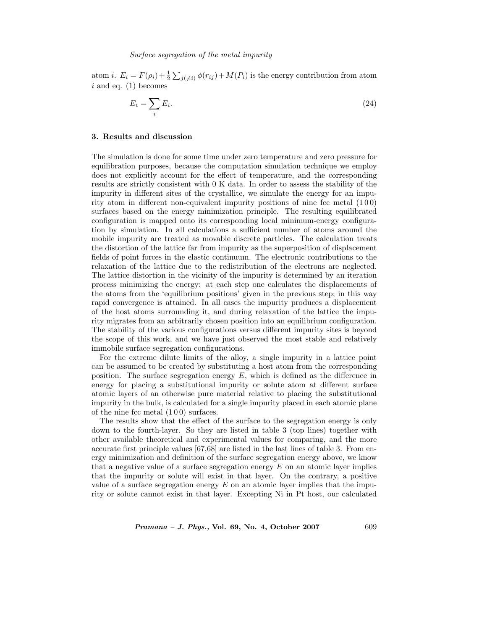atom *i.*  $E_i = F(\rho_i) + \frac{1}{2} \sum_{j(\neq i)} \phi(r_{ij}) + M(P_i)$  is the energy contribution from atom  $i$  and eq. (1) becomes

$$
E_{\rm t} = \sum_{i} E_i. \tag{24}
$$

# **3. Results and discussion**

The simulation is done for some time under zero temperature and zero pressure for equilibration purposes, because the computation simulation technique we employ does not explicitly account for the effect of temperature, and the corresponding results are strictly consistent with 0 K data. In order to assess the stability of the impurity in different sites of the crystallite, we simulate the energy for an impurity atom in different non-equivalent impurity positions of nine fcc metal  $(100)$ surfaces based on the energy minimization principle. The resulting equilibrated configuration is mapped onto its corresponding local minimum-energy configuration by simulation. In all calculations a sufficient number of atoms around the mobile impurity are treated as movable discrete particles. The calculation treats the distortion of the lattice far from impurity as the superposition of displacement fields of point forces in the elastic continuum. The electronic contributions to the relaxation of the lattice due to the redistribution of the electrons are neglected. The lattice distortion in the vicinity of the impurity is determined by an iteration process minimizing the energy: at each step one calculates the displacements of the atoms from the 'equilibrium positions' given in the previous step; in this way rapid convergence is attained. In all cases the impurity produces a displacement of the host atoms surrounding it, and during relaxation of the lattice the impurity migrates from an arbitrarily chosen position into an equilibrium configuration. The stability of the various configurations versus different impurity sites is beyond the scope of this work, and we have just observed the most stable and relatively immobile surface segregation configurations.

For the extreme dilute limits of the alloy, a single impurity in a lattice point can be assumed to be created by substituting a host atom from the corresponding position. The surface segregation energy  $E$ , which is defined as the difference in energy for placing a substitutional impurity or solute atom at different surface atomic layers of an otherwise pure material relative to placing the substitutional impurity in the bulk, is calculated for a single impurity placed in each atomic plane of the nine fcc metal  $(100)$  surfaces.

The results show that the effect of the surface to the segregation energy is only down to the fourth-layer. So they are listed in table 3 (top lines) together with other available theoretical and experimental values for comparing, and the more accurate first principle values [67,68] are listed in the last lines of table 3. From energy minimization and definition of the surface segregation energy above, we know that a negative value of a surface segregation energy  $E$  on an atomic layer implies that the impurity or solute will exist in that layer. On the contrary, a positive value of a surface segregation energy  $E$  on an atomic layer implies that the impurity or solute cannot exist in that layer. Excepting Ni in Pt host, our calculated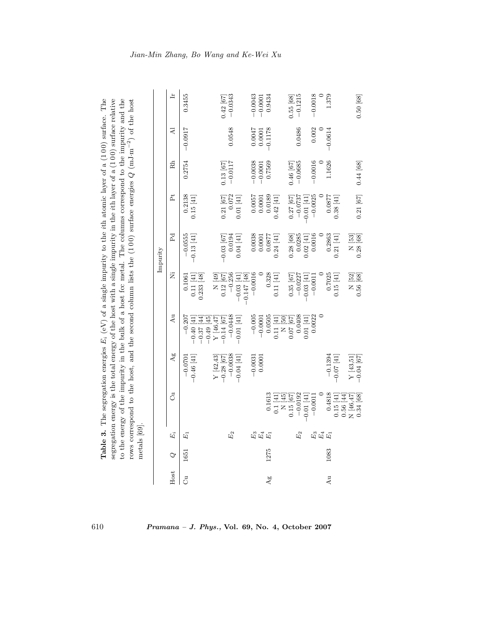| <b>Table 3.</b> The segregation energies $E_i$ (eV) of a single impurity to the <i>i</i> th atomic layer of a (100) surface. The |
|----------------------------------------------------------------------------------------------------------------------------------|
| segregation energy is the total energy of the host with a single impurity in the <i>i</i> th layer of a $(100)$ surface relative |
| to the energy of the impurity in the bulk of a host fcc metal. The columns correspond to the impurity and the                    |
| rows correspond to the host, and the second column lists the $(100)$ surface energies $Q \text{ (mJ·m}^{-2})$ of the host        |
| metals [69].                                                                                                                     |

|                |               | metals [69]    |                                       |                                                              |                                           | rows correspond to the host, and the second column lists the $(110)$ surface energies $Q$ (m.) of the host |                           |                    |             |                |             |
|----------------|---------------|----------------|---------------------------------------|--------------------------------------------------------------|-------------------------------------------|------------------------------------------------------------------------------------------------------------|---------------------------|--------------------|-------------|----------------|-------------|
|                |               |                |                                       |                                                              |                                           |                                                                                                            | Impurity                  |                    |             |                |             |
| Host           | $\mathcal{O}$ | $E_i$          | ්                                     | $A_{\rm g}$                                                  | Au                                        | Ż                                                                                                          | $_{\rm Pd}$               | 式                  | Rh          | $\overline{A}$ | ᅼ           |
| $\ddot{\circ}$ | 1651          | $E_1$          |                                       | $-0.46$ [41]<br>$-0.0701$                                    | $-0.207$<br>$-0.37$ [44]<br>$-0.40$ [41   | 0.233 [48]<br>0.1061<br>$0.11$ [41]                                                                        | $-0.0555$<br>$-0.13$ [41] | 0.2138<br>0.15[41] | 0.2754      | $-0.0917$      | 0.3455      |
|                |               |                |                                       | $\begin{array}{c} \rm Y\ [42,43] \\ -0.28\ [67] \end{array}$ | $-0.49$ [45]<br>Y [46,47]<br>$-0.14$ [67] | $\overline{181}$ N<br>$0.12$ [67]                                                                          | $-0.03$ [67]              | $0.21$ [67]        | $0.13$ [67] |                | 0.42 [67]   |
|                |               | $\,E_2\,$      |                                       | $-0.0038$                                                    | $-0.0448$                                 | $-0.256$                                                                                                   | 0.0194                    | 0.072              | $-0.0117$   | 0.0548         | $-0.0343$   |
|                |               |                |                                       | $-0.04$ [41]                                                 | $-0.01$ [41]                              | $-0.147$ [48]<br>$-0.03$ [41]                                                                              | $0.04$ [41]               | 0.01 [41]          |             |                |             |
|                |               |                |                                       | $-0.0031$                                                    | $-0.005$                                  | $-0.0016$                                                                                                  | 0.0038                    | 0.0057             | $-0.0038$   | 0.0047         | $-0.0043$   |
|                |               | E3<br>E4<br>E1 |                                       | 0.0001                                                       | $-0.0001$                                 |                                                                                                            | 0.0001                    | 0.0001             | $-0.0001$   | 0.0001         | $-0.0001$   |
| $A_{8}^{a}$    | 1275          |                | 0.1613                                |                                                              | 0.0505                                    | 0.328                                                                                                      | 0.0877                    | 0.0189             | 0.7569      | $-0.1178$      | 0.9434      |
|                |               |                | $N$ [45]<br>$0.1$ [41]                |                                                              | $N$ [50]<br>$0.11$ [41]                   | 0.11 [41]                                                                                                  | 0.24 [41]                 | 0.42 [41]          |             |                |             |
|                |               |                | $0.15$ [67]                           |                                                              | 0.07 [67]                                 | $0.35$ [67]                                                                                                | $0.28$ [68]               | 0.27 [67]          | 0.46 [67]   |                | $0.55$ [68] |
|                |               | $E_2$          | $-0.0192$                             |                                                              | 0.0408                                    | $-0.0227$                                                                                                  | 0.0285                    | $-0.0737$          | $-0.0685$   | 0.0486         | $-0.1215$   |
|                |               |                | $0.01$ [41]                           |                                                              | $0.01$ [41]                               | $-0.03$ [41]                                                                                               | $0.02$ [41]               | $-0.01$ [41]       |             |                |             |
|                |               | $E_3$          | $-0.0011$                             |                                                              | 0.0022                                    | $-0.0011$                                                                                                  | 0.0016                    | $-0.0025$          | $-0.0016$   | 0.002          | $-0.0018$   |
|                |               | $E_4$          |                                       |                                                              |                                           |                                                                                                            |                           |                    |             |                |             |
| Au             | 1083          |                | 0.4818                                | $-0.1394$                                                    |                                           | 0.7025                                                                                                     | 0.2863                    | 0.0877             | 1.1626      | $-0.0614$      | 1.379       |
|                |               |                | 0.15[41]                              | $-0.07$ [41]                                                 |                                           | 0.15[41]                                                                                                   | 0.21 [41]                 | 0.38[41]           |             |                |             |
|                |               |                | N [46,47]<br>0.34 [68]<br>$0.56$ [44] | Y[43,51]                                                     |                                           |                                                                                                            |                           |                    |             |                |             |
|                |               |                |                                       | $-0.04$ [67]                                                 |                                           | $N$ [52]<br>0.56 [68]                                                                                      | $N [53]$<br>0.28 $[68]$   | 0.21 [67]          | 0.44 [68]   |                | 0.50 [68]   |

 $0.50 [68]$ 

# *Jian-Min Zhang, Bo Wang and Ke-Wei Xu*

610 *Pramana – J. Phys.,* **Vol. 69, No. 4, October 2007**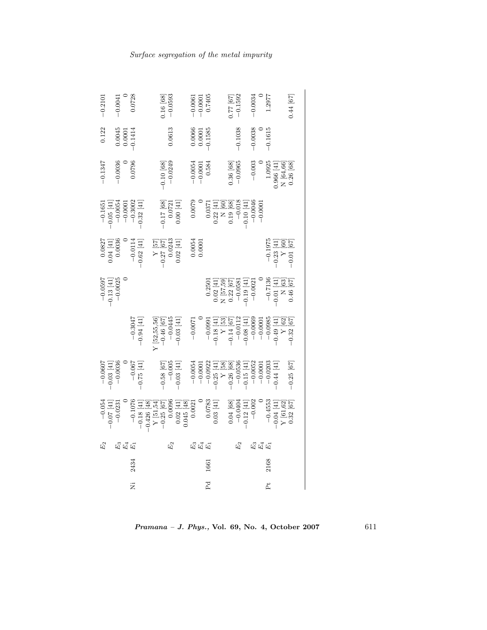| $-0.2101$                                           | $-0.0041$<br>0.0728                                        |                     |      |                                                                                               |  | $-0.16$ [68]<br>$-0.0593$ |        |                                                                                                                                                                                                                                                                                                                           | $-0.0061$<br>$-0.0001$<br>0.7405                           |             |  | 0.77 [67]<br>-0.1592   |           |  |                | $-0.0034$<br>0<br>1.2977 |                                                                                                                                                                                                                                                                                                                                                                                                                                                                                                         | 1.44 [67]    |
|-----------------------------------------------------|------------------------------------------------------------|---------------------|------|-----------------------------------------------------------------------------------------------|--|---------------------------|--------|---------------------------------------------------------------------------------------------------------------------------------------------------------------------------------------------------------------------------------------------------------------------------------------------------------------------------|------------------------------------------------------------|-------------|--|------------------------|-----------|--|----------------|--------------------------|---------------------------------------------------------------------------------------------------------------------------------------------------------------------------------------------------------------------------------------------------------------------------------------------------------------------------------------------------------------------------------------------------------------------------------------------------------------------------------------------------------|--------------|
| 0.122                                               | $\begin{array}{c} 0.0045 \\ 0.0001 \\ -0.1414 \end{array}$ |                     |      |                                                                                               |  |                           | 0.0613 |                                                                                                                                                                                                                                                                                                                           | $\begin{array}{c} 0.0066 \\ 0.0001 \\ -0.1585 \end{array}$ |             |  |                        | $-0.1038$ |  |                | $-0.0038$<br>$-0.1615$   |                                                                                                                                                                                                                                                                                                                                                                                                                                                                                                         |              |
| $-0.1347$                                           | $-0.0036$<br>0.0796                                        |                     |      |                                                                                               |  | $-0.10$ [68]<br>$-0.0249$ |        |                                                                                                                                                                                                                                                                                                                           | $-0.0054$<br>$-0.0001$<br>$0.584$                          |             |  | $0.36$ [68]<br>-0.0965 |           |  |                |                          | $\begin{array}{r} -0.003 \\ 0.0925 \\ 1.0925 \\ 0.966 \\ \hline \text{N} \text{ [64,66]} \\ 0.26 \text{ [8]} \\ \end{array}$                                                                                                                                                                                                                                                                                                                                                                            |              |
|                                                     |                                                            |                     |      | $\begin{array}{r} -0.1651 \ -0.05 \ [41] \ -0.0054 \ -0.0001 \ -0.0001 \ -0.3002 \end{array}$ |  |                           |        | $\begin{array}{c} -0.17\ [68] \\ 0.0721 \\ 0.0721 \end{array}$                                                                                                                                                                                                                                                            |                                                            |             |  |                        |           |  |                |                          |                                                                                                                                                                                                                                                                                                                                                                                                                                                                                                         |              |
|                                                     |                                                            |                     |      | $\begin{array}{c} 0.0827 \\ -0.04\ {\rm [41]} \\ 0.0036 \\ -0.0036 \\ -0.0114 \\ \end{array}$ |  |                           |        | $\begin{array}{c} \rm Y \ [57] \\[-1mm] -0.27 \ [67] \\[-1mm] 0.0243 \\[-1mm] 0.0243 \end{array}$                                                                                                                                                                                                                         | $0.0054$<br>0.0001                                         |             |  |                        |           |  |                |                          | $\begin{array}{r} -0.1975 \ -0.23 \ \text{[41]} \\ \text{Y} \ \text{[60]} \\ 0.01 \ \text{[67]} \end{array}$                                                                                                                                                                                                                                                                                                                                                                                            |              |
| $-0.0597$<br>$-0.13$ [41]<br>$-0.0025$<br>$-0.0025$ |                                                            |                     |      |                                                                                               |  |                           |        |                                                                                                                                                                                                                                                                                                                           |                                                            |             |  |                        |           |  |                |                          | $\begin{array}{r} 0.2501\\ 0.2501\\ 0.02\ [41]\\ 0.22\ [87,99]\\ 0.22\ [87]\\ -0.23\ [87]\\ -0.021\ [41]\\ -0.021\ [41]\\ -0.7136\\ -0.713\ [89]\\ -0.713\ [89]\\ 0.46\ [67] \end{array}$                                                                                                                                                                                                                                                                                                               |              |
|                                                     |                                                            |                     |      | $-0.3047$<br>$-0.94$ [41]                                                                     |  |                           |        | $\begin{array}{r} \left[ 52, 55, 56 \right] \\ -0.46 \left[ 67 \right] \\ -0.0445 \\ -0.0445 \end{array}$                                                                                                                                                                                                                 |                                                            |             |  |                        |           |  |                |                          | $\begin{array}{r rrrr} \text{(a)} & \text{(b)} & \text{(c)} & \text{(d)} & \text{(e)} \\ \hline \text{(c)} & \text{(e)} & \text{(f)} & \text{(f)} & \text{(g)} \\ \text{(g)} & \text{(h)} & \text{(i)} & \text{(j)} & \text{(j)} \\ \text{(i)} & \text{(j)} & \text{(k)} & \text{(l)} \\ \text{(j)} & \text{(k)} & \text{(l)} & \text{(l)} \\ \text{(k)} & \text{(l)} & \text{(l)} & \text{(l)} \\ \text{(l)} & \text{(l)} & \text{(l)} & \text{(l)} \\ \text{(l)} & \text{(l)} & \text{(l)} & \text{($ |              |
|                                                     |                                                            |                     |      |                                                                                               |  |                           |        | $\begin{array}{r} -0.58 & [67] \\ -0.005 & [41] \\ -0.003 & [41] \\ -0.0054 & -0.0001 \\ -0.0001 & 0.00022 \\ -0.0002 & [8] \\ -0.25 & [8] \\ -0.054 & [11] \\ -0.054 & [8] \\ -0.0032 & [8] \\ -0.0036 & [8] \\ -0.0001 & -0.0001 \\ -0.0001 & -0.0001 \\ -0.0001 & -0.0001 \\ -0.0001 & -0.0001 \\ \end{array}$         |                                                            |             |  |                        |           |  |                |                          |                                                                                                                                                                                                                                                                                                                                                                                                                                                                                                         | $-0.25$ [67] |
|                                                     |                                                            |                     |      |                                                                                               |  |                           |        | $\begin{array}{r} -0.054 \\ -0.07 \\ -0.107 \\ -0.0231 \\ -0.0231 \\ -0.0231 \\ -0.0231 \\ -0.0231 \\ -0.0231 \\ -0.0231 \\ -0.0231 \\ -0.0031 \\ -0.0021 \\ -0.0031 \\ -0.0031 \\ -0.0031 \\ -0.0031 \\ -0.0031 \\ -0.0031 \\ -0.0031 \\ -0.0031 \\ -0.0031 \\ -0.0031 \\ -0.0031 \\ -0.0031 \\ -0.0031 \\ -0.0031 \\ -$ |                                                            |             |  |                        |           |  |                |                          |                                                                                                                                                                                                                                                                                                                                                                                                                                                                                                         |              |
| $E_2$                                               |                                                            | <b>E</b><br>មី ម្មី |      |                                                                                               |  |                           | $E_2$  |                                                                                                                                                                                                                                                                                                                           | ដ<br>ស្មី<br>ស្មី                                          |             |  |                        | $E_2$     |  | E3<br>E4<br>E1 |                          |                                                                                                                                                                                                                                                                                                                                                                                                                                                                                                         |              |
|                                                     |                                                            |                     | 2434 |                                                                                               |  |                           |        |                                                                                                                                                                                                                                                                                                                           |                                                            | <b>L661</b> |  |                        |           |  |                | 2168                     |                                                                                                                                                                                                                                                                                                                                                                                                                                                                                                         |              |
|                                                     |                                                            |                     | Ż    |                                                                                               |  |                           |        |                                                                                                                                                                                                                                                                                                                           |                                                            | $_{\rm Pd}$ |  |                        |           |  |                | Ě                        |                                                                                                                                                                                                                                                                                                                                                                                                                                                                                                         |              |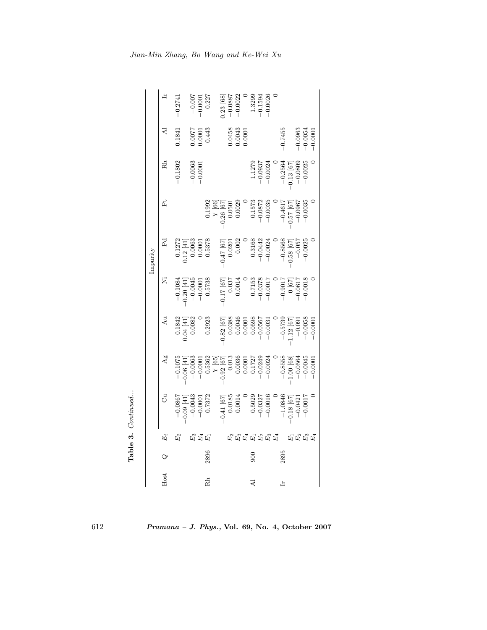|                |      |                        | $Table 3.$ $Conting$                                                                                                                                                                                                                                                                                                   |                                                                                                                                                                                                                                                                                                                                                  |                                                                                                                                                                                                                                                                                                                              |                                                                                                                                                                                                                                                                                                                                     |                                                                                                                                                                                                                                                         |                                                                                                                                                                                                                                                                                           |                                                                                                                                             |                                     |                                                                                                              |
|----------------|------|------------------------|------------------------------------------------------------------------------------------------------------------------------------------------------------------------------------------------------------------------------------------------------------------------------------------------------------------------|--------------------------------------------------------------------------------------------------------------------------------------------------------------------------------------------------------------------------------------------------------------------------------------------------------------------------------------------------|------------------------------------------------------------------------------------------------------------------------------------------------------------------------------------------------------------------------------------------------------------------------------------------------------------------------------|-------------------------------------------------------------------------------------------------------------------------------------------------------------------------------------------------------------------------------------------------------------------------------------------------------------------------------------|---------------------------------------------------------------------------------------------------------------------------------------------------------------------------------------------------------------------------------------------------------|-------------------------------------------------------------------------------------------------------------------------------------------------------------------------------------------------------------------------------------------------------------------------------------------|---------------------------------------------------------------------------------------------------------------------------------------------|-------------------------------------|--------------------------------------------------------------------------------------------------------------|
|                |      |                        |                                                                                                                                                                                                                                                                                                                        |                                                                                                                                                                                                                                                                                                                                                  |                                                                                                                                                                                                                                                                                                                              |                                                                                                                                                                                                                                                                                                                                     | Impurity                                                                                                                                                                                                                                                |                                                                                                                                                                                                                                                                                           |                                                                                                                                             |                                     |                                                                                                              |
| Host           | S    | $E_i$                  | Ju                                                                                                                                                                                                                                                                                                                     | Ag                                                                                                                                                                                                                                                                                                                                               | Au                                                                                                                                                                                                                                                                                                                           | Ż                                                                                                                                                                                                                                                                                                                                   | $_{\rm P}^{\rm d}$                                                                                                                                                                                                                                      | ቪ                                                                                                                                                                                                                                                                                         | Rh                                                                                                                                          | $\mathbf{z}$                        | $\mathbf{H}$                                                                                                 |
|                |      | $E_2$                  |                                                                                                                                                                                                                                                                                                                        |                                                                                                                                                                                                                                                                                                                                                  |                                                                                                                                                                                                                                                                                                                              |                                                                                                                                                                                                                                                                                                                                     |                                                                                                                                                                                                                                                         |                                                                                                                                                                                                                                                                                           | $-0.1802$                                                                                                                                   | 0.1841                              | $-0.2741$                                                                                                    |
|                |      |                        |                                                                                                                                                                                                                                                                                                                        |                                                                                                                                                                                                                                                                                                                                                  |                                                                                                                                                                                                                                                                                                                              |                                                                                                                                                                                                                                                                                                                                     |                                                                                                                                                                                                                                                         |                                                                                                                                                                                                                                                                                           |                                                                                                                                             |                                     |                                                                                                              |
|                |      |                        |                                                                                                                                                                                                                                                                                                                        |                                                                                                                                                                                                                                                                                                                                                  |                                                                                                                                                                                                                                                                                                                              |                                                                                                                                                                                                                                                                                                                                     |                                                                                                                                                                                                                                                         |                                                                                                                                                                                                                                                                                           | $-0.0063$<br>$-0.0001$                                                                                                                      |                                     |                                                                                                              |
|                |      | E3<br>E4<br>E1         |                                                                                                                                                                                                                                                                                                                        |                                                                                                                                                                                                                                                                                                                                                  |                                                                                                                                                                                                                                                                                                                              |                                                                                                                                                                                                                                                                                                                                     |                                                                                                                                                                                                                                                         |                                                                                                                                                                                                                                                                                           |                                                                                                                                             |                                     |                                                                                                              |
| Rh             | 2896 |                        | $\begin{array}{r} -0.0867 \\ -0.0914 \\ -0.0043 \\ -0.0043 \\ -0.0185 \\ -0.0141 \\ -0.0185 \\ -0.0141 \\ -0.0185 \\ -0.0014 \\ -0.0014 \\ -0.0016 \\ -0.0016 \\ -0.0016 \\ -0.0014 \\ -0.0016 \\ -0.0014 \\ -0.0014 \\ -0.0014 \\ -0.0014 \\ -0.0014 \\ -0.0014 \\ -0.0014 \\ -0.0014 \\ -0.0014 \\ -0.0014 \\ -0.00$ | $\begin{array}{r} 1075 \\ -0.06 \\ -0.06 \\ -0.06 \\ -0.06 \\ -0.06 \\ -0.06 \\ -0.06 \\ -0.06 \\ -0.06 \\ -0.03 \\ -0.03 \\ -0.03 \\ -0.03 \\ -0.03 \\ -0.03 \\ -0.03 \\ -0.03 \\ -0.03 \\ -0.03 \\ -0.03 \\ -0.03 \\ -0.03 \\ -0.03 \\ -0.03 \\ -0.03 \\ -0.03 \\ -0.03 \\ -0.03 \\ -0.03 \\ -0.03 \\ -0.03 \\ -0.03 \\ -0.03 \\ -0.03 \\ -0.$ | $\begin{array}{r} 0.1842 \\ 0.04 \begin{bmatrix} 41 \\ 91 \end{bmatrix} \\ 0.0082 \\ 0.0082 \\ -0.2923 \end{array}$                                                                                                                                                                                                          | $\begin{array}{r} 0 \\ 8400 \\ -0.000 \\ -0.000 \\ -0.000 \\ -0.000 \\ -0.000 \\ -0.000 \\ -0.000 \\ -0.000 \\ -0.000 \\ -0.000 \\ -0.000 \\ -0.000 \\ -0.000 \\ -0.000 \\ -0.000 \\ -0.000 \\ -0.000 \\ -0.000 \\ -0.000 \\ -0.000 \\ -0.000 \\ -0.000 \\ -0.000 \\ -0.000 \\ -0.000 \\ -0.000 \\ -0.000 \\ -0.000 \\ -0.000 \\ -$ | $\begin{array}{r} 0.1272 \ 0.12 \ [41] \ 0.0063 \ 0.0001 \ 0.0001 \ -0.5378 \end{array}$                                                                                                                                                                |                                                                                                                                                                                                                                                                                           |                                                                                                                                             | 0.0077<br>10001<br>10.443           | $-0.007$<br>$-0.0001$<br>$0.227$                                                                             |
|                |      |                        |                                                                                                                                                                                                                                                                                                                        |                                                                                                                                                                                                                                                                                                                                                  |                                                                                                                                                                                                                                                                                                                              |                                                                                                                                                                                                                                                                                                                                     |                                                                                                                                                                                                                                                         |                                                                                                                                                                                                                                                                                           |                                                                                                                                             |                                     |                                                                                                              |
|                |      |                        |                                                                                                                                                                                                                                                                                                                        |                                                                                                                                                                                                                                                                                                                                                  |                                                                                                                                                                                                                                                                                                                              |                                                                                                                                                                                                                                                                                                                                     |                                                                                                                                                                                                                                                         |                                                                                                                                                                                                                                                                                           |                                                                                                                                             |                                     |                                                                                                              |
|                |      |                        |                                                                                                                                                                                                                                                                                                                        |                                                                                                                                                                                                                                                                                                                                                  |                                                                                                                                                                                                                                                                                                                              |                                                                                                                                                                                                                                                                                                                                     |                                                                                                                                                                                                                                                         |                                                                                                                                                                                                                                                                                           |                                                                                                                                             |                                     |                                                                                                              |
|                |      | <b>EEEEEE</b>          |                                                                                                                                                                                                                                                                                                                        |                                                                                                                                                                                                                                                                                                                                                  |                                                                                                                                                                                                                                                                                                                              |                                                                                                                                                                                                                                                                                                                                     |                                                                                                                                                                                                                                                         |                                                                                                                                                                                                                                                                                           |                                                                                                                                             | 0.0458<br>0.0043<br>0.0001          | $\begin{array}{r} 0.23 \; [68] \\ -0.0887 \\ -0.0022 \\ -0.0022 \\ 1.3299 \\ -0.1594 \\ -0.0026 \end{array}$ |
|                |      |                        |                                                                                                                                                                                                                                                                                                                        |                                                                                                                                                                                                                                                                                                                                                  |                                                                                                                                                                                                                                                                                                                              |                                                                                                                                                                                                                                                                                                                                     |                                                                                                                                                                                                                                                         |                                                                                                                                                                                                                                                                                           |                                                                                                                                             |                                     |                                                                                                              |
| $\overline{A}$ | 900  |                        |                                                                                                                                                                                                                                                                                                                        |                                                                                                                                                                                                                                                                                                                                                  |                                                                                                                                                                                                                                                                                                                              |                                                                                                                                                                                                                                                                                                                                     |                                                                                                                                                                                                                                                         |                                                                                                                                                                                                                                                                                           |                                                                                                                                             |                                     |                                                                                                              |
|                |      |                        |                                                                                                                                                                                                                                                                                                                        |                                                                                                                                                                                                                                                                                                                                                  |                                                                                                                                                                                                                                                                                                                              |                                                                                                                                                                                                                                                                                                                                     |                                                                                                                                                                                                                                                         |                                                                                                                                                                                                                                                                                           |                                                                                                                                             |                                     |                                                                                                              |
|                |      |                        |                                                                                                                                                                                                                                                                                                                        |                                                                                                                                                                                                                                                                                                                                                  |                                                                                                                                                                                                                                                                                                                              |                                                                                                                                                                                                                                                                                                                                     |                                                                                                                                                                                                                                                         |                                                                                                                                                                                                                                                                                           |                                                                                                                                             |                                     |                                                                                                              |
|                |      |                        |                                                                                                                                                                                                                                                                                                                        |                                                                                                                                                                                                                                                                                                                                                  |                                                                                                                                                                                                                                                                                                                              |                                                                                                                                                                                                                                                                                                                                     |                                                                                                                                                                                                                                                         |                                                                                                                                                                                                                                                                                           |                                                                                                                                             |                                     |                                                                                                              |
| ᅼ              | 2895 |                        |                                                                                                                                                                                                                                                                                                                        |                                                                                                                                                                                                                                                                                                                                                  |                                                                                                                                                                                                                                                                                                                              |                                                                                                                                                                                                                                                                                                                                     |                                                                                                                                                                                                                                                         |                                                                                                                                                                                                                                                                                           |                                                                                                                                             | $-0.7455$                           |                                                                                                              |
|                |      |                        |                                                                                                                                                                                                                                                                                                                        |                                                                                                                                                                                                                                                                                                                                                  | $\begin{array}{r} 1.82 \\[-4pt] 0.0388 \\[-4pt] 0.00046 \\[-4pt] 0.00046 \\[-4pt] 0.0000 \\[-4pt] 0.0000 \\[-4pt] -0.003 \\[-4pt] -0.003 \\[-4pt] -0.003 \\[-4pt] -0.003 \\[-4pt] -0.0003 \\[-4pt] -0.0003 \\[-4pt] -0.0003 \\[-4pt] -0.0003 \\[-4pt] -0.0003 \\[-4pt] -0.0003 \\[-4pt] -0.0003 \\[-4pt] -0.0003 \\[-4pt] -$ |                                                                                                                                                                                                                                                                                                                                     | $\begin{array}{r} 0.47 \begin{bmatrix} 67 \\ 67 \\ -0.0201 \\ 0.002 \\ 0.002 \\ 0.002 \\ 0.002 \\ -0.024 \\ 0.3168 \\ -0.024 \\ 0.034 \\ -0.057 \\ 0.58 \\ 67 \\ -0.057 \\ -0.057 \\ -0.057 \\ 0.03 \\ 0.03 \\ 0.03 \\ 0.03 \\ \end{array} \end{array}$ | $\begin{array}{r} 0.00000 \\ 0.000000 \\ 0.000000 \\ 0.00000 \\ 0.00000 \\ 0.00000 \\ 0.00000 \\ 0.00000 \\ 0.00000 \\ 0.00000 \\ 0.00000 \\ 0.0000 \\ 0.0000 \\ 0.0000 \\ 0.0000 \\ 0.0000 \\ 0.0000 \\ 0.0000 \\ 0.0000 \\ 0.0000 \\ 0.0000 \\ 0.0000 \\ 0.0000 \\ 0.0000 \\ 0.0000 \\$ | $\begin{array}{r} 1.1279 \\ -0.0937 \\ -0.0024 \\ -0.0024 \\ -0.2564 \\ -0.2564 \\ -0.0809 \\ -0.0809 \\ -0.0809 \\ -0.0025 \\ \end{array}$ |                                     |                                                                                                              |
|                |      |                        |                                                                                                                                                                                                                                                                                                                        |                                                                                                                                                                                                                                                                                                                                                  |                                                                                                                                                                                                                                                                                                                              |                                                                                                                                                                                                                                                                                                                                     |                                                                                                                                                                                                                                                         |                                                                                                                                                                                                                                                                                           |                                                                                                                                             |                                     |                                                                                                              |
|                |      | E<br>E S<br>E S<br>E 4 |                                                                                                                                                                                                                                                                                                                        |                                                                                                                                                                                                                                                                                                                                                  |                                                                                                                                                                                                                                                                                                                              |                                                                                                                                                                                                                                                                                                                                     |                                                                                                                                                                                                                                                         |                                                                                                                                                                                                                                                                                           |                                                                                                                                             | $-0.0963$<br>$-0.0054$<br>$-0.0001$ |                                                                                                              |
|                |      |                        |                                                                                                                                                                                                                                                                                                                        |                                                                                                                                                                                                                                                                                                                                                  |                                                                                                                                                                                                                                                                                                                              |                                                                                                                                                                                                                                                                                                                                     |                                                                                                                                                                                                                                                         |                                                                                                                                                                                                                                                                                           |                                                                                                                                             |                                     |                                                                                                              |
|                |      |                        |                                                                                                                                                                                                                                                                                                                        |                                                                                                                                                                                                                                                                                                                                                  |                                                                                                                                                                                                                                                                                                                              |                                                                                                                                                                                                                                                                                                                                     |                                                                                                                                                                                                                                                         |                                                                                                                                                                                                                                                                                           |                                                                                                                                             |                                     |                                                                                                              |

# *Jian-Min Zhang, Bo Wang and Ke-Wei Xu*

Table 3. Continued...

612 *Pramana – J. Phys.,* **Vol. 69, No. 4, October 2007**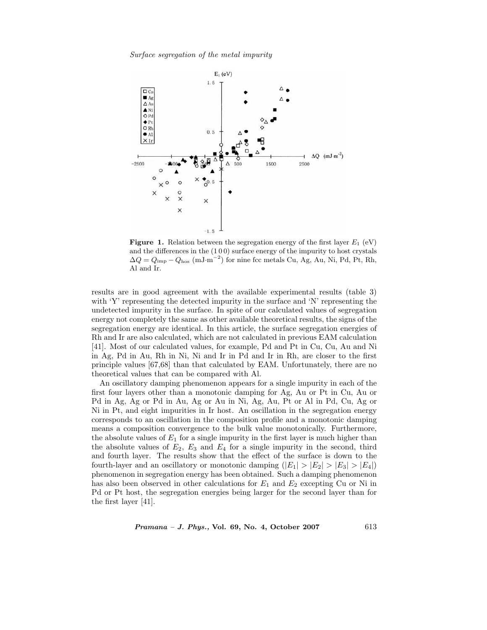

**Figure 1.** Relation between the segregation energy of the first layer  $E_1$  (eV) and the differences in the  $(100)$  surface energy of the impurity to host crystals  $\Delta Q = Q_{\rm imp} - Q_{\rm hos}$  (mJ·m<sup>-2</sup>) for nine fcc metals Cu, Ag, Au, Ni, Pd, Pt, Rh, Al and Ir.

results are in good agreement with the available experimental results (table 3) with 'Y' representing the detected impurity in the surface and 'N' representing the undetected impurity in the surface. In spite of our calculated values of segregation energy not completely the same as other available theoretical results, the signs of the segregation energy are identical. In this article, the surface segregation energies of Rh and Ir are also calculated, which are not calculated in previous EAM calculation [41]. Most of our calculated values, for example, Pd and Pt in Cu, Cu, Au and Ni in Ag, Pd in Au, Rh in Ni, Ni and Ir in Pd and Ir in Rh, are closer to the first principle values [67,68] than that calculated by EAM. Unfortunately, there are no theoretical values that can be compared with Al.

An oscillatory damping phenomenon appears for a single impurity in each of the first four layers other than a monotonic damping for Ag, Au or Pt in Cu, Au or Pd in Ag, Ag or Pd in Au, Ag or Au in Ni, Ag, Au, Pt or Al in Pd, Cu, Ag or Ni in Pt, and eight impurities in Ir host. An oscillation in the segregation energy corresponds to an oscillation in the composition profile and a monotonic damping means a composition convergence to the bulk value monotonically. Furthermore, the absolute values of  $E_1$  for a single impurity in the first layer is much higher than the absolute values of  $E_2$ ,  $E_3$  and  $E_4$  for a single impurity in the second, third and fourth layer. The results show that the effect of the surface is down to the fourth-layer and an oscillatory or monotonic damping  $(|E_1|>|E_2|>|E_3|>|E_4|)$ phenomenon in segregation energy has been obtained. Such a damping phenomenon has also been observed in other calculations for  $E_1$  and  $E_2$  excepting Cu or Ni in Pd or Pt host, the segregation energies being larger for the second layer than for the first layer [41].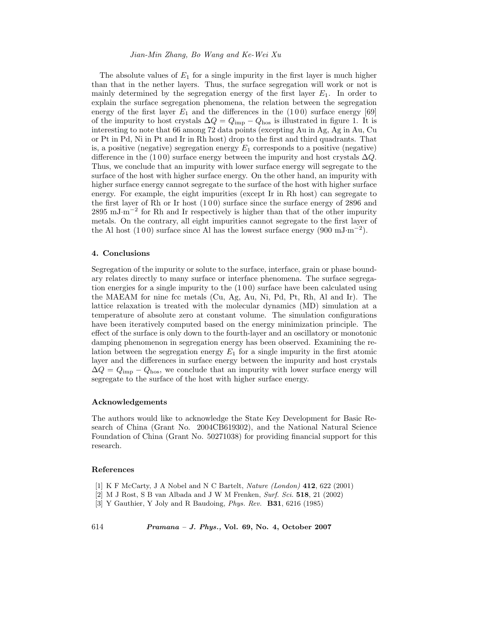The absolute values of  $E_1$  for a single impurity in the first layer is much higher than that in the nether layers. Thus, the surface segregation will work or not is mainly determined by the segregation energy of the first layer  $E_1$ . In order to explain the surface segregation phenomena, the relation between the segregation energy of the first layer  $E_1$  and the differences in the (100) surface energy [69] of the impurity to host crystals  $\Delta Q = Q_{\text{imp}} - Q_{\text{hos}}$  is illustrated in figure 1. It is interesting to note that 66 among 72 data points (excepting Au in Ag, Ag in Au, Cu or Pt in Pd, Ni in Pt and Ir in Rh host) drop to the first and third quadrants. That is, a positive (negative) segregation energy  $E_1$  corresponds to a positive (negative) difference in the (100) surface energy between the impurity and host crystals  $\Delta Q$ . Thus, we conclude that an impurity with lower surface energy will segregate to the surface of the host with higher surface energy. On the other hand, an impurity with higher surface energy cannot segregate to the surface of the host with higher surface energy. For example, the eight impurities (except Ir in Rh host) can segregate to the first layer of Rh or Ir host  $(100)$  surface since the surface energy of 2896 and 2895 mJ·m<sup>-2</sup> for Rh and Ir respectively is higher than that of the other impurity metals. On the contrary, all eight impurities cannot segregate to the first layer of the Al host  $(100)$  surface since Al has the lowest surface energy  $(900 \text{ mJ} \cdot \text{m}^{-2})$ .

# **4. Conclusions**

Segregation of the impurity or solute to the surface, interface, grain or phase boundary relates directly to many surface or interface phenomena. The surface segregation energies for a single impurity to the  $(100)$  surface have been calculated using the MAEAM for nine fcc metals (Cu, Ag, Au, Ni, Pd, Pt, Rh, Al and Ir). The lattice relaxation is treated with the molecular dynamics (MD) simulation at a temperature of absolute zero at constant volume. The simulation configurations have been iteratively computed based on the energy minimization principle. The effect of the surface is only down to the fourth-layer and an oscillatory or monotonic damping phenomenon in segregation energy has been observed. Examining the relation between the segregation energy  $E_1$  for a single impurity in the first atomic layer and the differences in surface energy between the impurity and host crystals  $\Delta Q = Q_{\rm imp} - Q_{\rm hos}$ , we conclude that an impurity with lower surface energy will segregate to the surface of the host with higher surface energy.

# **Acknowledgements**

The authors would like to acknowledge the State Key Development for Basic Research of China (Grant No. 2004CB619302), and the National Natural Science Foundation of China (Grant No. 50271038) for providing financial support for this research.

#### **References**

- [1] K F McCarty, J A Nobel and N C Bartelt, *Nature (London)* **412**, 622 (2001)
- [2] M J Rost, S B van Albada and J W M Frenken, *Surf. Sci.* **518**, 21 (2002)
- [3] Y Gauthier, Y Joly and R Baudoing, *Phys. Rev.* **B31**, 6216 (1985)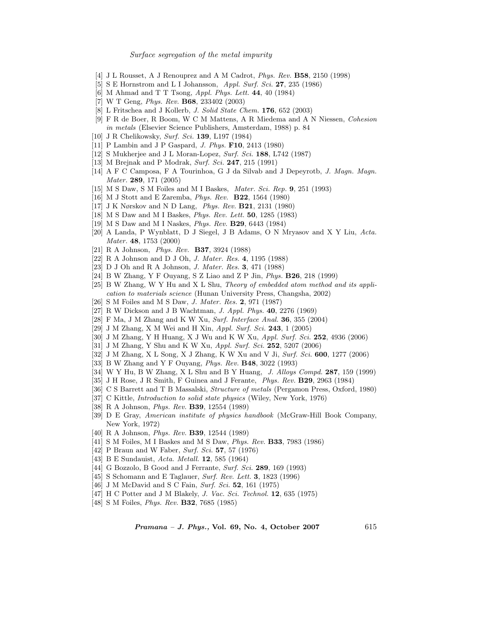- [4] J L Rousset, A J Renouprez and A M Cadrot, *Phys. Rev.* **B58**, 2150 (1998)
- [5] S E Hornstrom and L I Johansson, *Appl. Surf. Sci.* **27**, 235 (1986)
- [6] M Ahmad and T T Tsong, *Appl. Phys. Lett.* **44**, 40 (1984)
- [7] W T Geng, *Phys. Rev.* **B68**, 233402 (2003)
- [8] L Fritschea and J Kollerb, *J. Solid State Chem.* **176**, 652 (2003)
- [9] F R de Boer, R Boom, W C M Mattens, A R Miedema and A N Niessen, *Cohesion in metals* (Elsevier Science Publishers, Amsterdam, 1988) p. 84
- [10] J R Chelikowsky, *Surf. Sci.* **139**, L197 (1984)
- [11] P Lambin and J P Gaspard, *J. Phys.* **F10**, 2413 (1980)
- [12] S Mukherjee and J L Moran-Lopez, *Surf. Sci.* **188**, L742 (1987)
- [13] M Brejnak and P Modrak, *Surf. Sci.* **247**, 215 (1991)
- [14] A F C Camposa, F A Tourinhoa, G J da Silvab and J Depeyrotb, *J. Magn. Magn. Mater.* **289**, 171 (2005)
- [15] M S Daw, S M Foiles and M I Baskes, *Mater. Sci. Rep.* **9**, 251 (1993)
- [16] M J Stott and E Zaremba, *Phys. Rev.* **B22**, 1564 (1980)
- [17] J K Nørskov and N D Lang, *Phys. Rev.* **B21**, 2131 (1980)
- [18] M S Daw and M I Baskes, *Phys. Rev. Lett.* **50**, 1285 (1983)
- [19] M S Daw and M I Naskes, *Phys. Rev.* **B29**, 6443 (1984)
- [20] A Landa, P Wynblatt, D J Siegel, J B Adams, O N Mryasov and X Y Liu, *Acta. Mater.* **48**, 1753 (2000)
- [21] R A Johnson, *Phys. Rev.* **B37**, 3924 (1988)
- [22] R A Johnson and D J Oh, *J. Mater. Res.* **4**, 1195 (1988)
- [23] D J Oh and R A Johnson, *J. Mater. Res.* **3**, 471 (1988)
- [24] B W Zhang, Y F Ouyang, S Z Liao and Z P Jin, *Phys.* **B26**, 218 (1999)
- [25] B W Zhang, W Y Hu and X L Shu, *Theory of embedded atom method and its application to materials science* (Hunan University Press, Changsha, 2002)
- [26] S M Foiles and M S Daw, *J. Mater. Res.* **2**, 971 (1987)
- [27] R W Dickson and J B Wachtman, *J. Appl. Phys.* **40**, 2276 (1969)
- [28] F Ma, J M Zhang and K W Xu, *Surf. Interface Anal.* **36**, 355 (2004)
- [29] J M Zhang, X M Wei and H Xin, *Appl. Surf. Sci.* **243**, 1 (2005)
- [30] J M Zhang, Y H Huang, X J Wu and K W Xu, *Appl. Surf. Sci.* **252**, 4936 (2006)
- [31] J M Zhang, Y Shu and K W Xu, *Appl. Surf. Sci.* **252**, 5207 (2006)
- [32] J M Zhang, X L Song, X J Zhang, K W Xu and V Ji, *Surf. Sci.* **600**, 1277 (2006)
- [33] B W Zhang and Y F Ouyang, *Phys. Rev.* **B48**, 3022 (1993)
- [34] W Y Hu, B W Zhang, X L Shu and B Y Huang, *J. Alloys Compd.* **287**, 159 (1999)
- [35] J H Rose, J R Smith, F Guinea and J Ferante, *Phys. Rev.* **B29**, 2963 (1984)
- [36] C S Barrett and T B Massalski, *Structure of metals* (Pergamon Press, Oxford, 1980)
- [37] C Kittle, *Introduction to solid state physics* (Wiley, New York, 1976)
- [38] R A Johnson, *Phys. Rev.* **B39**, 12554 (1989)
- [39] D E Gray, *American institute of physics handbook* (McGraw-Hill Book Company, New York, 1972)
- [40] R A Johnson, *Phys. Rev.* **B39**, 12544 (1989)
- [41] S M Foiles, M I Baskes and M S Daw, *Phys. Rev.* **B33**, 7983 (1986)
- [42] P Braun and W Faber, *Surf. Sci.* **57**, 57 (1976)
- [43] B E Sundauist, *Acta. Metall.* **12**, 585 (1964)
- [44] G Bozzolo, B Good and J Ferrante, *Surf. Sci.* **289**, 169 (1993)
- [45] S Schomann and E Taglauer, *Surf. Rev. Lett.* **3**, 1823 (1996)
- [46] J M McDavid and S C Fain, *Surf. Sci.* **52**, 161 (1975)
- [47] H C Potter and J M Blakely, *J. Vac. Sci. Technol.* **12**, 635 (1975)
- [48] S M Foiles, *Phys. Rev.* **B32**, 7685 (1985)